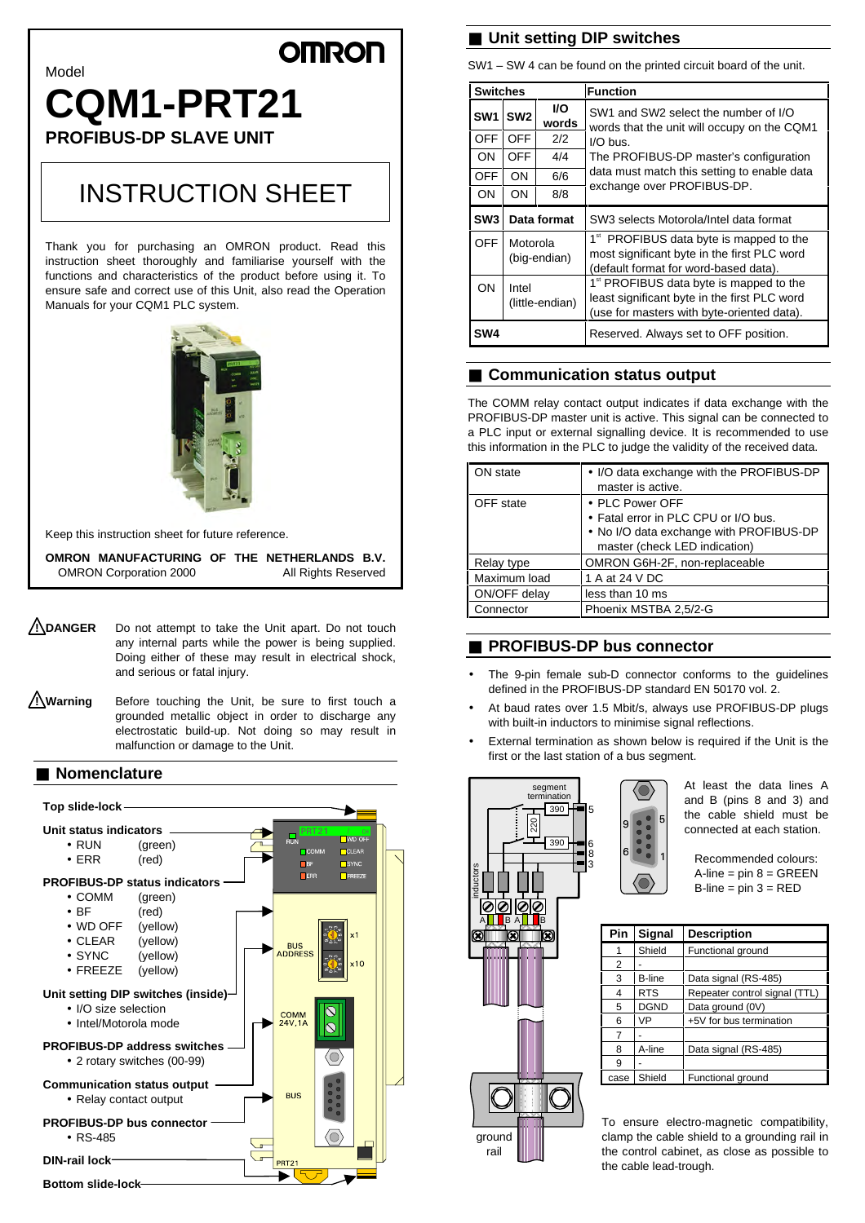### --

# Model **CQM1-PRT21**

**PROFIBUS-DP SLAVE UNIT**

## INSTRUCTION SHEET

Thank you for purchasing an OMRON product. Read this instruction sheet thoroughly and familiarise yourself with the functions and characteristics of the product before using it. To ensure safe and correct use of this Unit, also read the Operation Manuals for your CQM1 PLC system.



Keep this instruction sheet for future reference.

**OMRON MANUFACTURING OF THE NETHERLANDS B.V.** OMRON Corporation 2000 All Rights Reserved

- **! DANGER** Do not attempt to take the Unit apart. Do not touch any internal parts while the power is being supplied. Doing either of these may result in electrical shock, and serious or fatal injury.
- **! Warning** Before touching the Unit, be sure to first touch a grounded metallic object in order to discharge any electrostatic build-up. Not doing so may result in malfunction or damage to the Unit.

#### ■ **Nomenclature Top slide-lock Unit status indicators** • RUN (green)  $CLEAF$ • ERR (red)  $\square$  SYNC  $F_{FR}$  $\Box$ EREEZ **PROFIBUS-DP status indicators** • COMM (green) • BF (red) • WD OFF (yellow) • CLEAR (yellow) **BUS<br>ADDRESS** • SYNC (yellow)  $1<sup>c</sup>$ • FREEZE (yellow) **Unit setting DIP switches (inside)** • I/O size selection COMM<br>24V, 1A • Intel/Motorola mode  $\overline{\mathcal{N}}$ **PROFIBUS-DP address switches** Ó • 2 rotary switches (00-99) **Communication status output RUS** • Relay contact output **PROFIBUS-DP bus connector** • RS-485 0) **u DIN-rail lock PRT21**

**Bottom slide-lock**

#### ■ **Unit setting DIP switches**

SW1 – SW 4 can be found on the printed circuit board of the unit.

| <b>Switches</b> |                          |             | <b>Function</b>                                                                                                                                   |
|-----------------|--------------------------|-------------|---------------------------------------------------------------------------------------------------------------------------------------------------|
| SW <sub>1</sub> | SW <sub>2</sub>          | VO<br>words | SW1 and SW2 select the number of I/O<br>words that the unit will occupy on the CQM1                                                               |
| <b>OFF</b>      | <b>OFF</b>               | 2/2         | $I/O$ bus.                                                                                                                                        |
| ON              | <b>OFF</b>               | 4/4         | The PROFIBUS-DP master's configuration                                                                                                            |
| <b>OFF</b>      | ON                       | 6/6         | data must match this setting to enable data                                                                                                       |
| <b>ON</b>       | ON                       | 8/8         | exchange over PROFIBUS-DP.                                                                                                                        |
| SW <sub>3</sub> | Data format              |             | SW3 selects Motorola/Intel data format                                                                                                            |
| <b>OFF</b>      | Motorola<br>(big-endian) |             | 1 <sup>st</sup> PROFIBUS data byte is mapped to the<br>most significant byte in the first PLC word<br>(default format for word-based data).       |
| OΝ              | Intel<br>(little-endian) |             | 1 <sup>st</sup> PROFIBUS data byte is mapped to the<br>least significant byte in the first PLC word<br>(use for masters with byte-oriented data). |
| SW4             |                          |             | Reserved. Always set to OFF position.                                                                                                             |

### ■ **Communication** status output

The COMM relay contact output indicates if data exchange with the PROFIBUS-DP master unit is active. This signal can be connected to a PLC input or external signalling device. It is recommended to use this information in the PLC to judge the validity of the received data.

| ON state     | • I/O data exchange with the PROFIBUS-DP<br>master is active.                                                                       |
|--------------|-------------------------------------------------------------------------------------------------------------------------------------|
| OFF state    | • PLC Power OFF<br>• Fatal error in PLC CPU or I/O bus.<br>• No I/O data exchange with PROFIBUS-DP<br>master (check LED indication) |
| Relay type   | OMRON G6H-2F, non-replaceable                                                                                                       |
| Maximum load | 1 A at 24 V DC                                                                                                                      |
| ON/OFF delay | less than 10 ms                                                                                                                     |
| Connector    | Phoenix MSTBA 2,5/2-G                                                                                                               |

#### ■ **PROFIBUS-DP** bus connector

- The 9-pin female sub-D connector conforms to the guidelines defined in the PROFIBUS-DP standard EN 50170 vol. 2.
- At baud rates over 1.5 Mbit/s, always use PROFIBUS-DP plugs with built-in inductors to minimise signal reflections.
- External termination as shown below is required if the Unit is the first or the last station of a bus segment.



rail

At least the data lines A and B (pins 8 and 3) and the cable shield must be connected at each station.

Recommended colours:  $A$ -line = pin  $8 = GREEN$  $B$ -line = pin  $3 = RED$ 

| Pin  | Signal        | <b>Description</b>            |
|------|---------------|-------------------------------|
| 1    | Shield        | Functional ground             |
| 2    |               |                               |
| 3    | <b>B-line</b> | Data signal (RS-485)          |
| 4    | <b>RTS</b>    | Repeater control signal (TTL) |
| 5    | <b>DGND</b>   | Data ground (0V)              |
| 6    | VP            | +5V for bus termination       |
| 7    |               |                               |
| 8    | A-line        | Data signal (RS-485)          |
| 9    |               |                               |
| case | Shield        | Functional ground             |

To ensure electro-magnetic compatibility, clamp the cable shield to a grounding rail in the control cabinet, as close as possible to the cable lead-trough.